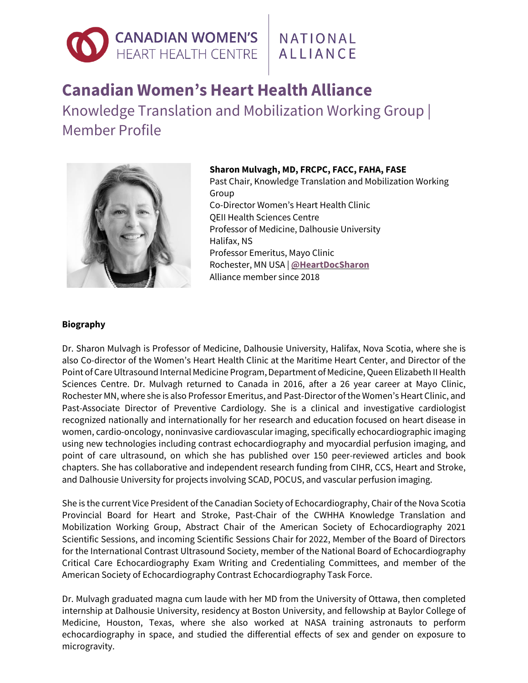

## NATIONAL **ALLIANCE**

## **Canadian Women's Heart Health Alliance**

Knowledge Translation and Mobilization Working Group | Member Profile



**Sharon Mulvagh, MD, FRCPC, FACC, FAHA, FASE** Past Chair, Knowledge Translation and Mobilization Working Group Co-Director Women's Heart Health Clinic QEII Health Sciences Centre Professor of Medicine, Dalhousie University Halifax, NS Professor Emeritus, Mayo Clinic Rochester, MN USA | **[@HeartDocSharon](https://twitter.com/heartdocsharon)** Alliance member since 2018

## **Biography**

Dr. Sharon Mulvagh is Professor of Medicine, Dalhousie University, Halifax, Nova Scotia, where she is also Co-director of the Women's Heart Health Clinic at the Maritime Heart Center, and Director of the Point of Care Ultrasound Internal Medicine Program, Department of Medicine, Queen Elizabeth II Health Sciences Centre. Dr. Mulvagh returned to Canada in 2016, after a 26 year career at Mayo Clinic, Rochester MN, where she is also Professor Emeritus, and Past-Director ofthe Women's Heart Clinic, and Past-Associate Director of Preventive Cardiology. She is a clinical and investigative cardiologist recognized nationally and internationally for her research and education focused on heart disease in women, cardio-oncology, noninvasive cardiovascular imaging, specifically echocardiographic imaging using new technologies including contrast echocardiography and myocardial perfusion imaging, and point of care ultrasound, on which she has published over 150 peer-reviewed articles and book chapters. She has collaborative and independent research funding from CIHR, CCS, Heart and Stroke, and Dalhousie University for projects involving SCAD, POCUS, and vascular perfusion imaging.

She is the current Vice President of the Canadian Society of Echocardiography, Chair of the Nova Scotia Provincial Board for Heart and Stroke, Past-Chair of the CWHHA Knowledge Translation and Mobilization Working Group, Abstract Chair of the American Society of Echocardiography 2021 Scientific Sessions, and incoming Scientific Sessions Chair for 2022, Member of the Board of Directors for the International Contrast Ultrasound Society, member of the National Board of Echocardiography Critical Care Echocardiography Exam Writing and Credentialing Committees, and member of the American Society of Echocardiography Contrast Echocardiography Task Force.

Dr. Mulvagh graduated magna cum laude with her MD from the University of Ottawa, then completed internship at Dalhousie University, residency at Boston University, and fellowship at Baylor College of Medicine, Houston, Texas, where she also worked at NASA training astronauts to perform echocardiography in space, and studied the differential effects of sex and gender on exposure to microgravity.